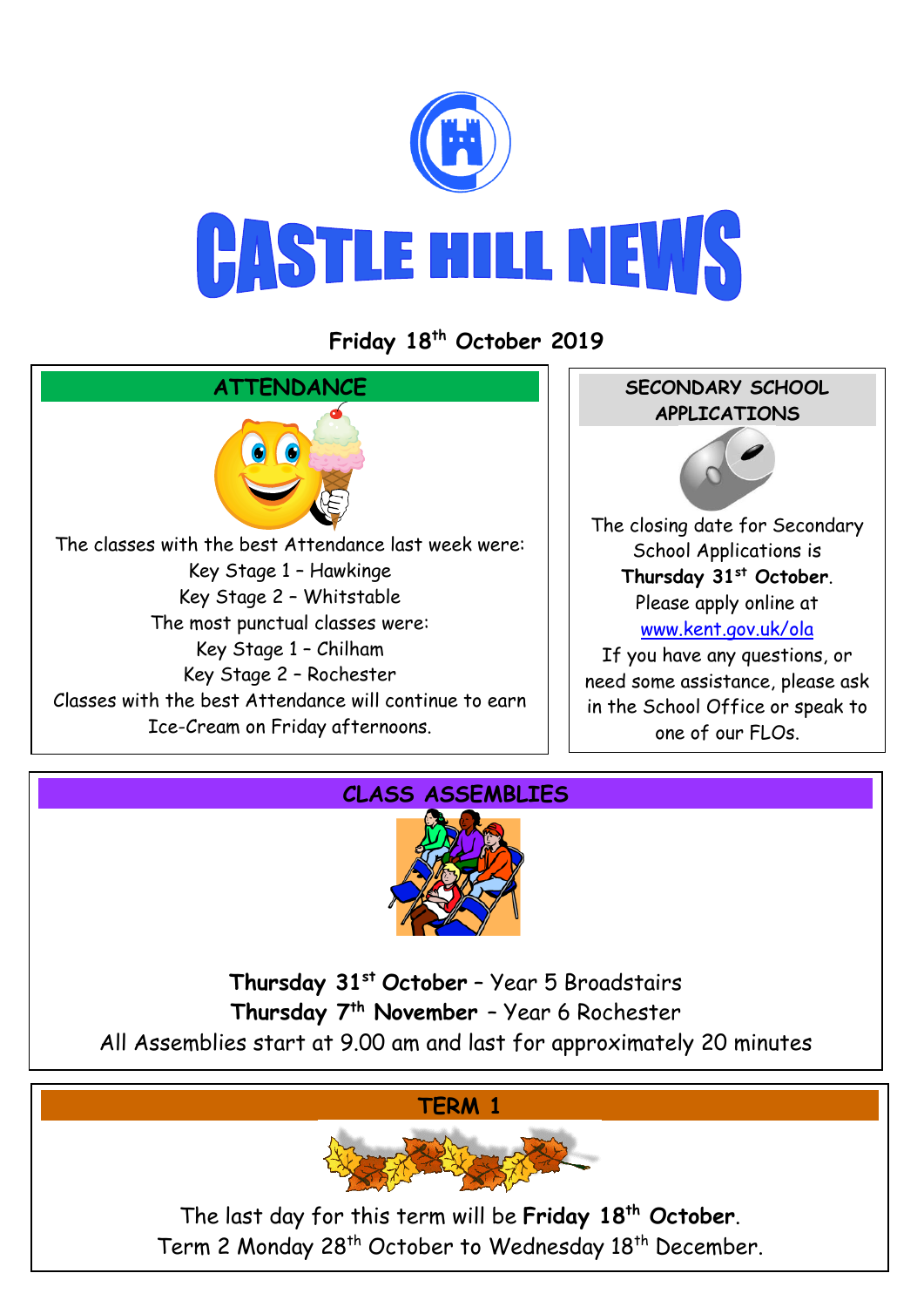

## **CASTLE HILL NEWS**

**Friday 18 th October 2019**





**Thursday 31st October** – Year 5 Broadstairs **Thursday 7th November** – Year 6 Rochester All Assemblies start at 9.00 am and last for approximately 20 minutes



The last day for this term will be **Friday 18th October**. Term 2 Monday 28<sup>th</sup> October to Wednesday 18<sup>th</sup> December.